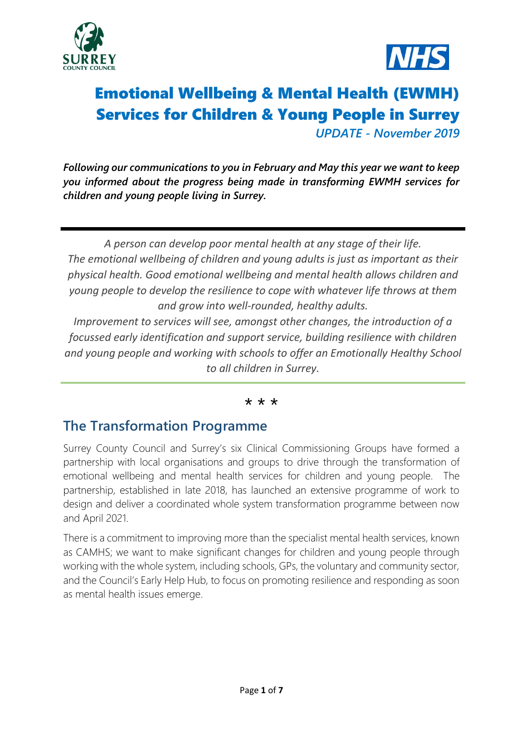



# Emotional Wellbeing & Mental Health (EWMH) Services for Children & Young People in Surrey *UPDATE - November 2019*

*Following our communications to you in February and May this year we want to keep you informed about the progress being made in transforming EWMH services for children and young people living in Surrey.*

*A person can develop poor mental health at any stage of their life. The emotional wellbeing of children and young adults is just as important as their physical health. Good emotional wellbeing and mental health allows children and young people to develop the resilience to cope with whatever life throws at them and grow into well-rounded, healthy adults.*

*Improvement to services will see, amongst other changes, the introduction of a focussed early identification and support service, building resilience with children and young people and working with schools to offer an Emotionally Healthy School to all children in Surrey.*

#### \* \* \*

## **The Transformation Programme**

Surrey County Council and Surrey's six Clinical Commissioning Groups have formed a partnership with local organisations and groups to drive through the transformation of emotional wellbeing and mental health services for children and young people. The partnership, established in late 2018, has launched an extensive programme of work to design and deliver a coordinated whole system transformation programme between now and April 2021.

There is a commitment to improving more than the specialist mental health services, known as CAMHS; we want to make significant changes for children and young people through working with the whole system, including schools, GPs, the voluntary and community sector, and the Council's Early Help Hub, to focus on promoting resilience and responding as soon as mental health issues emerge.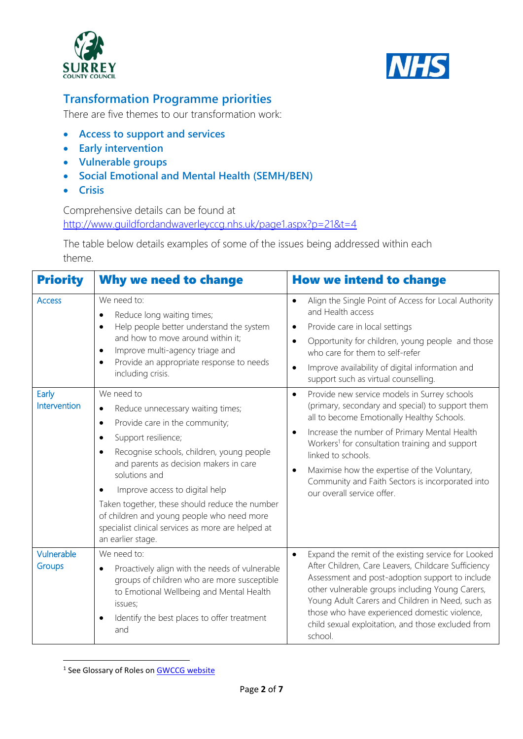



# **Transformation Programme priorities**

There are five themes to our transformation work:

- **[Access to support and services](http://www.guildfordandwaverleyccg.nhs.uk/page1.aspx?p=21&t=2#AccessSupport)**
- **[Early intervention](http://www.guildfordandwaverleyccg.nhs.uk/page1.aspx?p=21&t=2#EarlyInt)**
- **[Vulnerable groups](http://www.guildfordandwaverleyccg.nhs.uk/page1.aspx?p=21&t=2#VulnerableGrp)**
- **[Social Emotional and Mental Health \(SEMH/BEN\)](http://www.guildfordandwaverleyccg.nhs.uk/page1.aspx?p=21&t=2#SEMH)**
- **Crisis**

#### Comprehensive details can be found at <http://www.guildfordandwaverleyccg.nhs.uk/page1.aspx?p=21&t=4>

The table below details examples of some of the issues being addressed within each theme.

| <b>Priority</b>       | <b>Why we need to change</b>                                                                                                                                                                                                                                                                                                                                                                                                                                                      | <b>How we intend to change</b>                                                                                                                                                                                                                                                                                                                                                                                                                      |  |  |  |
|-----------------------|-----------------------------------------------------------------------------------------------------------------------------------------------------------------------------------------------------------------------------------------------------------------------------------------------------------------------------------------------------------------------------------------------------------------------------------------------------------------------------------|-----------------------------------------------------------------------------------------------------------------------------------------------------------------------------------------------------------------------------------------------------------------------------------------------------------------------------------------------------------------------------------------------------------------------------------------------------|--|--|--|
| <b>Access</b>         | We need to:<br>Reduce long waiting times;<br>Help people better understand the system<br>$\bullet$<br>and how to move around within it;<br>Improve multi-agency triage and<br>$\bullet$<br>Provide an appropriate response to needs<br>$\bullet$<br>including crisis.                                                                                                                                                                                                             | Align the Single Point of Access for Local Authority<br>$\bullet$<br>and Health access<br>Provide care in local settings<br>$\bullet$<br>Opportunity for children, young people and those<br>$\bullet$<br>who care for them to self-refer<br>Improve availability of digital information and<br>$\bullet$<br>support such as virtual counselling.                                                                                                   |  |  |  |
| Early<br>Intervention | We need to<br>Reduce unnecessary waiting times;<br>$\bullet$<br>Provide care in the community;<br>$\bullet$<br>Support resilience;<br>$\bullet$<br>Recognise schools, children, young people<br>$\bullet$<br>and parents as decision makers in care<br>solutions and<br>Improve access to digital help<br>Taken together, these should reduce the number<br>of children and young people who need more<br>specialist clinical services as more are helped at<br>an earlier stage. | Provide new service models in Surrey schools<br>$\bullet$<br>(primary, secondary and special) to support them<br>all to become Emotionally Healthy Schools.<br>Increase the number of Primary Mental Health<br>$\bullet$<br>Workers <sup>1</sup> for consultation training and support<br>linked to schools.<br>Maximise how the expertise of the Voluntary,<br>٠<br>Community and Faith Sectors is incorporated into<br>our overall service offer. |  |  |  |
| Vulnerable<br>Groups  | We need to:<br>Proactively align with the needs of vulnerable<br>groups of children who are more susceptible<br>to Emotional Wellbeing and Mental Health<br>issues;<br>Identify the best places to offer treatment<br>$\bullet$<br>and                                                                                                                                                                                                                                            | Expand the remit of the existing service for Looked<br>$\bullet$<br>After Children, Care Leavers, Childcare Sufficiency<br>Assessment and post-adoption support to include<br>other vulnerable groups including Young Carers,<br>Young Adult Carers and Children in Need, such as<br>those who have experienced domestic violence,<br>child sexual exploitation, and those excluded from<br>school.                                                 |  |  |  |

**<sup>.</sup>** <sup>1</sup> See Glossary of Roles on **GWCCG website**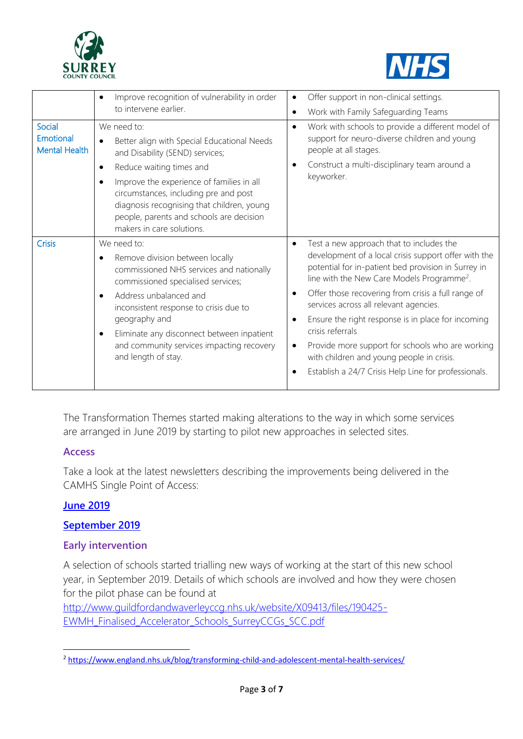



|                                      | Improve recognition of vulnerability in order<br>$\bullet$<br>to intervene earlier.                                                                                                                                                                                                                                                                       | Offer support in non-clinical settings.<br>$\bullet$<br>Work with Family Safeguarding Teams<br>$\bullet$                                                                                                                                                                                                                                                                                                                                                                                                                                                          |
|--------------------------------------|-----------------------------------------------------------------------------------------------------------------------------------------------------------------------------------------------------------------------------------------------------------------------------------------------------------------------------------------------------------|-------------------------------------------------------------------------------------------------------------------------------------------------------------------------------------------------------------------------------------------------------------------------------------------------------------------------------------------------------------------------------------------------------------------------------------------------------------------------------------------------------------------------------------------------------------------|
| Social<br>Emotional<br>Mental Health | We need to:<br>Better align with Special Educational Needs<br>and Disability (SEND) services;<br>Reduce waiting times and<br>٠<br>Improve the experience of families in all<br>٠<br>circumstances, including pre and post<br>diagnosis recognising that children, young<br>people, parents and schools are decision<br>makers in care solutions.          | Work with schools to provide a different model of<br>$\bullet$<br>support for neuro-diverse children and young<br>people at all stages.<br>Construct a multi-disciplinary team around a<br>keyworker.                                                                                                                                                                                                                                                                                                                                                             |
| <b>Crisis</b>                        | We need to:<br>Remove division between locally<br>٠<br>commissioned NHS services and nationally<br>commissioned specialised services;<br>Address unbalanced and<br>$\bullet$<br>inconsistent response to crisis due to<br>geography and<br>Eliminate any disconnect between inpatient<br>and community services impacting recovery<br>and length of stay. | Test a new approach that to includes the<br>$\bullet$<br>development of a local crisis support offer with the<br>potential for in-patient bed provision in Surrey in<br>line with the New Care Models Programme <sup>2</sup> .<br>Offer those recovering from crisis a full range of<br>services across all relevant agencies.<br>Ensure the right response is in place for incoming<br>crisis referrals<br>Provide more support for schools who are working<br>with children and young people in crisis.<br>Establish a 24/7 Crisis Help Line for professionals. |

The Transformation Themes started making alterations to the way in which some services are arranged in June 2019 by starting to pilot new approaches in selected sites.

#### **Access**

Take a look at the latest newsletters describing the improvements being delivered in the CAMHS Single Point of Access:

### **[June 2019](https://www.sabp.nhs.uk/application/files/9815/7079/5939/SABP_CAMHS_SPA_ID_Bulletin_June_2019_FINAL.pdf)**

#### **[September 2019](https://www.sabp.nhs.uk/application/files/4315/7079/5951/SABP_CAMHS_SPA_ID_Bulletin_September_2019_FINAL.pdf)**

#### **Early intervention**

A selection of schools started trialling new ways of working at the start of this new school year, in September 2019. Details of which schools are involved and how they were chosen for the pilot phase can be found at

[http://www.guildfordandwaverleyccg.nhs.uk/website/X09413/files/190425-](http://www.guildfordandwaverleyccg.nhs.uk/website/X09413/files/190425-EWMH_Finalised_Accelerator_Schools_SurreyCCGs_SCC.pdf) [EWMH\\_Finalised\\_Accelerator\\_Schools\\_SurreyCCGs\\_SCC.pdf](http://www.guildfordandwaverleyccg.nhs.uk/website/X09413/files/190425-EWMH_Finalised_Accelerator_Schools_SurreyCCGs_SCC.pdf) 

**<sup>.</sup>** <sup>2</sup> <https://www.england.nhs.uk/blog/transforming-child-and-adolescent-mental-health-services/>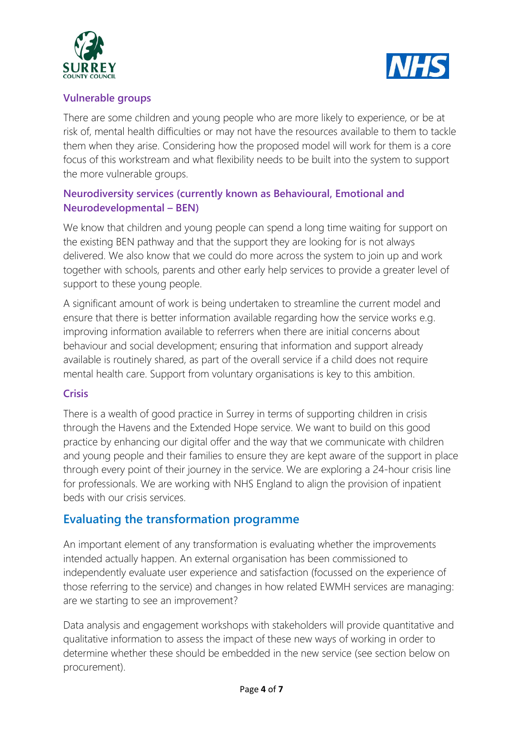



### **Vulnerable groups**

There are some children and young people who are more likely to experience, or be at risk of, mental health difficulties or may not have the resources available to them to tackle them when they arise. Considering how the proposed model will work for them is a core focus of this workstream and what flexibility needs to be built into the system to support the more vulnerable groups.

### **Neurodiversity services (currently known as Behavioural, Emotional and Neurodevelopmental – BEN)**

We know that children and young people can spend a long time waiting for support on the existing BEN pathway and that the support they are looking for is not always delivered. We also know that we could do more across the system to join up and work together with schools, parents and other early help services to provide a greater level of support to these young people.

A significant amount of work is being undertaken to streamline the current model and ensure that there is better information available regarding how the service works e.g. improving information available to referrers when there are initial concerns about behaviour and social development; ensuring that information and support already available is routinely shared, as part of the overall service if a child does not require mental health care. Support from voluntary organisations is key to this ambition.

### **Crisis**

There is a wealth of good practice in Surrey in terms of supporting children in crisis through the Havens and the Extended Hope service. We want to build on this good practice by enhancing our digital offer and the way that we communicate with children and young people and their families to ensure they are kept aware of the support in place through every point of their journey in the service. We are exploring a 24-hour crisis line for professionals. We are working with NHS England to align the provision of inpatient beds with our crisis services.

## **Evaluating the transformation programme**

An important element of any transformation is evaluating whether the improvements intended actually happen. An external organisation has been commissioned to independently evaluate user experience and satisfaction (focussed on the experience of those referring to the service) and changes in how related EWMH services are managing: are we starting to see an improvement?

Data analysis and engagement workshops with stakeholders will provide quantitative and qualitative information to assess the impact of these new ways of working in order to determine whether these should be embedded in the new service (see section below on procurement).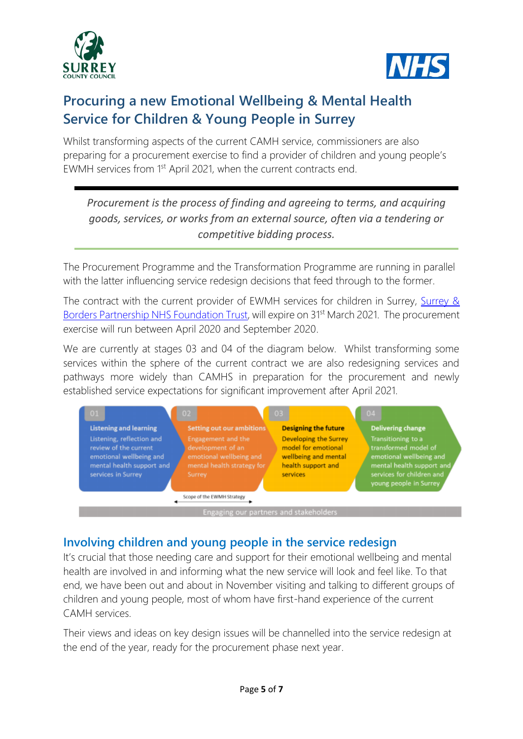



# **Procuring a new Emotional Wellbeing & Mental Health Service for Children & Young People in Surrey**

Whilst transforming aspects of the current CAMH service, commissioners are also preparing for a procurement exercise to find a provider of children and young people's EWMH services from 1<sup>st</sup> April 2021, when the current contracts end.

*Procurement is the process of finding and agreeing to terms, and acquiring goods, services, or works from an external source, often via a tendering or competitive bidding process.*

The Procurement Programme and the Transformation Programme are running in parallel with the latter influencing service redesign decisions that feed through to the former.

The contract with the current provider of EWMH services for children in Surrey, Surrey & [Borders Partnership NHS Foundation Trust,](https://www.sabp.nhs.uk/mindsightsurreycamhs) will expire on 31<sup>st</sup> March 2021. The procurement exercise will run between April 2020 and September 2020.

We are currently at stages 03 and 04 of the diagram below. Whilst transforming some services within the sphere of the current contract we are also redesigning services and pathways more widely than CAMHS in preparation for the procurement and newly established service expectations for significant improvement after April 2021.

|                                                                                                                                  | 01                                     |                               | $02 -$                                                                                                            |                                                                                                        | $03 -$                      | 04                                                                                                                                                        |                          |  |
|----------------------------------------------------------------------------------------------------------------------------------|----------------------------------------|-------------------------------|-------------------------------------------------------------------------------------------------------------------|--------------------------------------------------------------------------------------------------------|-----------------------------|-----------------------------------------------------------------------------------------------------------------------------------------------------------|--------------------------|--|
|                                                                                                                                  |                                        | <b>Listening and learning</b> |                                                                                                                   | <b>Setting out our ambitions</b>                                                                       | <b>Designing the future</b> |                                                                                                                                                           | <b>Delivering change</b> |  |
| Listening, reflection and<br>review of the current<br>emotional wellbeing and<br>mental health support and<br>services in Surrey |                                        |                               | <b>Engagement and the</b><br>development of an<br>emotional wellbeing and<br>mental health strategy for<br>Surrey | Developing the Surrey<br>model for emotional<br>wellbeing and mental<br>health support and<br>services |                             | Transitioning to a<br>transformed model of<br>emotional wellbeing and<br>mental health support and<br>services for children and<br>young people in Surrey |                          |  |
|                                                                                                                                  |                                        |                               |                                                                                                                   | Scope of the EWMH Strategy                                                                             |                             |                                                                                                                                                           |                          |  |
|                                                                                                                                  | Engaging our partners and stakeholders |                               |                                                                                                                   |                                                                                                        |                             |                                                                                                                                                           |                          |  |

## **Involving children and young people in the service redesign**

It's crucial that those needing care and support for their emotional wellbeing and mental health are involved in and informing what the new service will look and feel like. To that end, we have been out and about in November visiting and talking to different groups of children and young people, most of whom have first-hand experience of the current CAMH services.

Their views and ideas on key design issues will be channelled into the service redesign at the end of the year, ready for the procurement phase next year.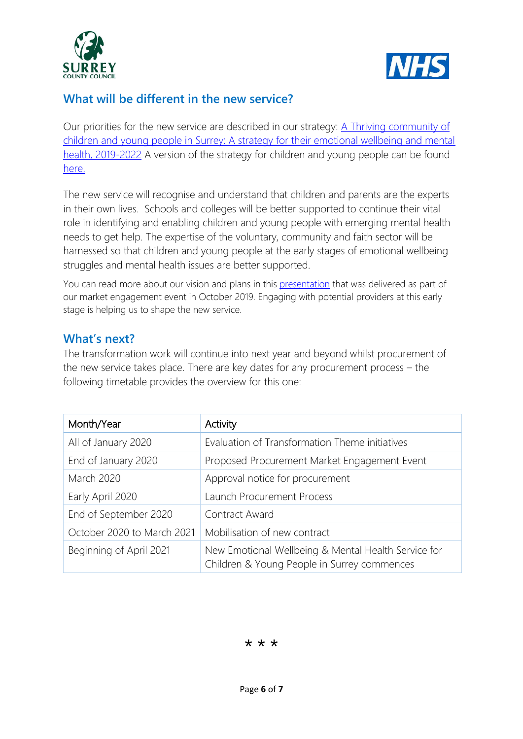



## **What will be different in the new service?**

Our priorities for the new service are described in our strategy:  $\triangle$  Thriving community of [children and young people in Surrey: A strategy for their emotional wellbeing and mental](http://www.guildfordandwaverleyccg.nhs.uk/website/X09413/files/190228-Surrey_CYP_EWMH_Strategy_v9_0_Compressed_GWCCG.pdf)  [health, 2019-2022](http://www.guildfordandwaverleyccg.nhs.uk/website/X09413/files/190228-Surrey_CYP_EWMH_Strategy_v9_0_Compressed_GWCCG.pdf) A version of the strategy for children and young people can be found [here.](http://www.guildfordandwaverleyccg.nhs.uk/website/X09413/files/190507-Surrey_CYP_EWMH_Strategy_CYP_version_v6_0_GWCCG.pdf)

The new service will recognise and understand that children and parents are the experts in their own lives. Schools and colleges will be better supported to continue their vital role in identifying and enabling children and young people with emerging mental health needs to get help. The expertise of the voluntary, community and faith sector will be harnessed so that children and young people at the early stages of emotional wellbeing struggles and mental health issues are better supported.

You can read more about our vision and plans in this [presentation](http://www.guildfordandwaverleyccg.nhs.uk/website/X09413/files/191015-EWMH_Market_Engagement_Event_Slides_v1_3_SurreyCCGs.pdf) that was delivered as part of our market engagement event in October 2019. Engaging with potential providers at this early stage is helping us to shape the new service.

### **What's next?**

The transformation work will continue into next year and beyond whilst procurement of the new service takes place. There are key dates for any procurement process – the following timetable provides the overview for this one:

| Month/Year                 | Activity                                                                                           |
|----------------------------|----------------------------------------------------------------------------------------------------|
| All of January 2020        | Evaluation of Transformation Theme initiatives                                                     |
| End of January 2020        | Proposed Procurement Market Engagement Event                                                       |
| <b>March 2020</b>          | Approval notice for procurement                                                                    |
| Early April 2020           | <b>Launch Procurement Process</b>                                                                  |
| End of September 2020      | Contract Award                                                                                     |
| October 2020 to March 2021 | Mobilisation of new contract                                                                       |
| Beginning of April 2021    | New Emotional Wellbeing & Mental Health Service for<br>Children & Young People in Surrey commences |

\* \* \*